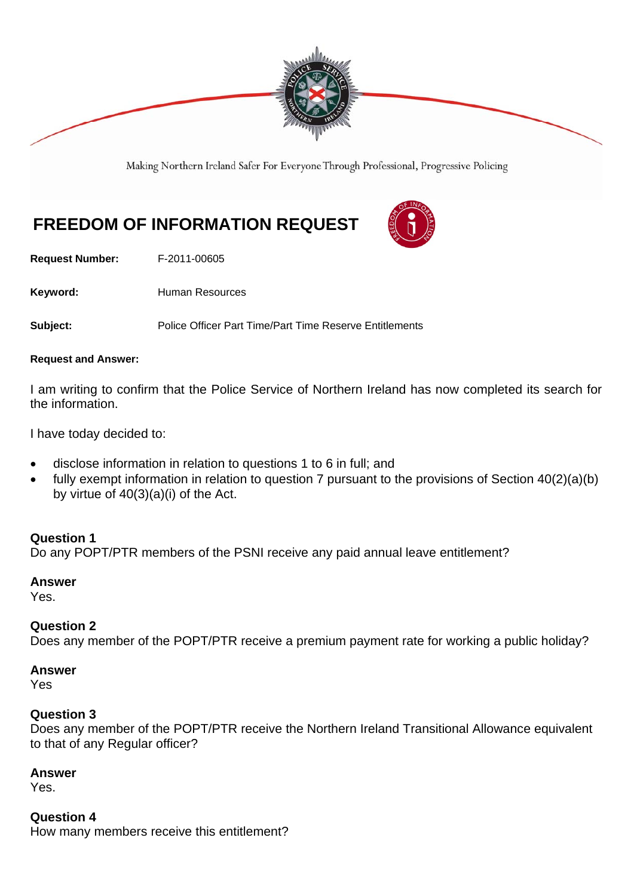

Making Northern Ireland Safer For Everyone Through Professional, Progressive Policing

# **FREEDOM OF INFORMATION REQUEST**



**Request Number:** F-2011-00605

Keyword: **Human Resources** 

**Subject:** Police Officer Part Time/Part Time Reserve Entitlements

#### **Request and Answer:**

I am writing to confirm that the Police Service of Northern Ireland has now completed its search for the information.

I have today decided to:

- disclose information in relation to questions 1 to 6 in full; and
- fully exempt information in relation to question 7 pursuant to the provisions of Section 40(2)(a)(b) by virtue of  $40(3)(a)(i)$  of the Act.

## **Question 1**

Do any POPT/PTR members of the PSNI receive any paid annual leave entitlement?

#### **Answer**

Yes.

## **Question 2**

Does any member of the POPT/PTR receive a premium payment rate for working a public holiday?

#### **Answer**

Yes

#### **Question 3**

Does any member of the POPT/PTR receive the Northern Ireland Transitional Allowance equivalent to that of any Regular officer?

## **Answer**

Yes.

#### **Question 4**

How many members receive this entitlement?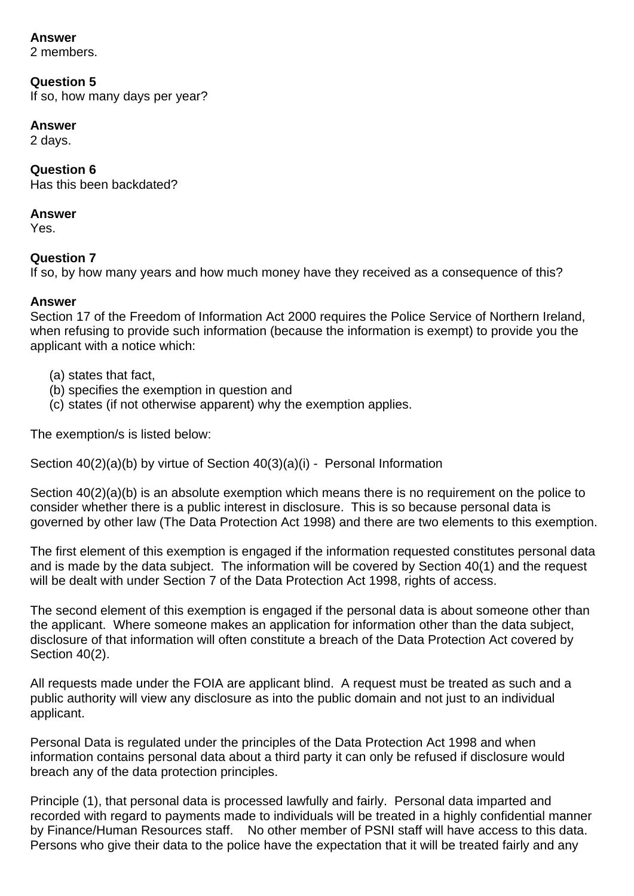## **Answer**

2 members.

## **Question 5**

If so, how many days per year?

## **Answer**

2 days.

# **Question 6**

Has this been backdated?

## **Answer**

Yes.

# **Question 7**

If so, by how many years and how much money have they received as a consequence of this?

## **Answer**

Section 17 of the Freedom of Information Act 2000 requires the Police Service of Northern Ireland, when refusing to provide such information (because the information is exempt) to provide you the applicant with a notice which:

- (a) states that fact,
- (b) specifies the exemption in question and
- (c) states (if not otherwise apparent) why the exemption applies.

The exemption/s is listed below:

Section 40(2)(a)(b) by virtue of Section 40(3)(a)(i) - Personal Information

Section 40(2)(a)(b) is an absolute exemption which means there is no requirement on the police to consider whether there is a public interest in disclosure. This is so because personal data is governed by other law (The Data Protection Act 1998) and there are two elements to this exemption.

The first element of this exemption is engaged if the information requested constitutes personal data and is made by the data subject. The information will be covered by Section 40(1) and the request will be dealt with under Section 7 of the Data Protection Act 1998, rights of access.

The second element of this exemption is engaged if the personal data is about someone other than the applicant. Where someone makes an application for information other than the data subject, disclosure of that information will often constitute a breach of the Data Protection Act covered by Section 40(2).

All requests made under the FOIA are applicant blind. A request must be treated as such and a public authority will view any disclosure as into the public domain and not just to an individual applicant.

Personal Data is regulated under the principles of the Data Protection Act 1998 and when information contains personal data about a third party it can only be refused if disclosure would breach any of the data protection principles.

Principle (1), that personal data is processed lawfully and fairly. Personal data imparted and recorded with regard to payments made to individuals will be treated in a highly confidential manner by Finance/Human Resources staff. No other member of PSNI staff will have access to this data. Persons who give their data to the police have the expectation that it will be treated fairly and any